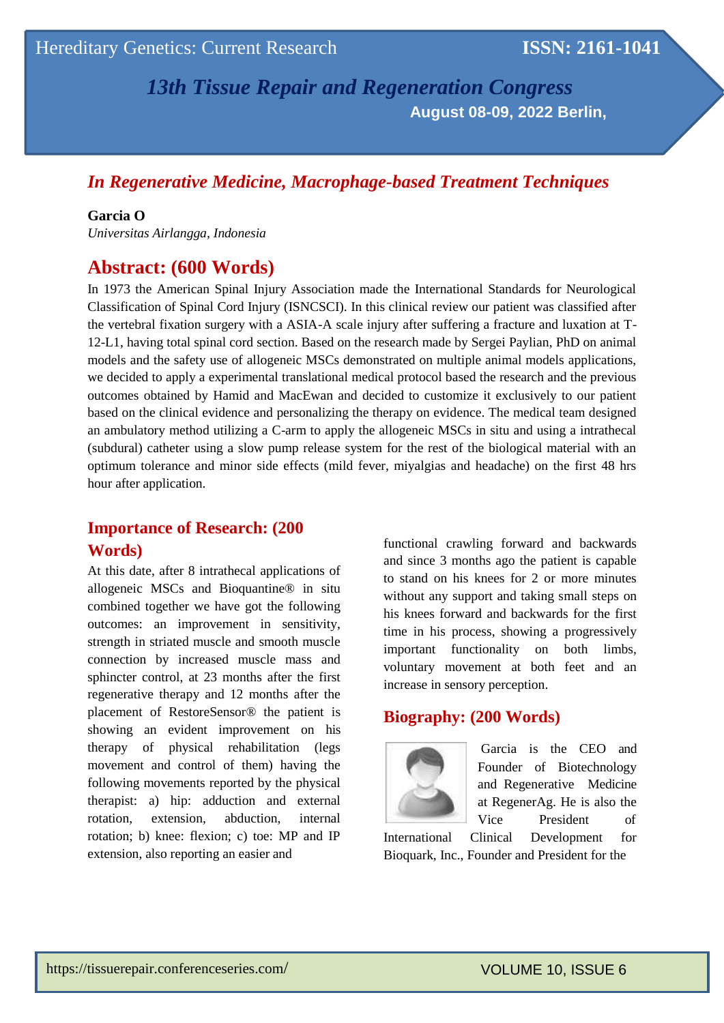*13th Tissue Repair and Regeneration Congress* **August 08-09, 2022 Berlin,** 

# *In Regenerative Medicine, Macrophage-based Treatment Techniques*

#### **Garcia O**

*Universitas Airlangga, Indonesia*

# **Abstract: (600 Words)**

In 1973 the American Spinal Injury Association made the International Standards for Neurological Classification of Spinal Cord Injury (ISNCSCI). In this clinical review our patient was classified after the vertebral fixation surgery with a ASIA-A scale injury after suffering a fracture and luxation at T-12-L1, having total spinal cord section. Based on the research made by Sergei Paylian, PhD on animal models and the safety use of allogeneic MSCs demonstrated on multiple animal models applications, we decided to apply a experimental translational medical protocol based the research and the previous outcomes obtained by Hamid and MacEwan and decided to customize it exclusively to our patient based on the clinical evidence and personalizing the therapy on evidence. The medical team designed an ambulatory method utilizing a C-arm to apply the allogeneic MSCs in situ and using a intrathecal (subdural) catheter using a slow pump release system for the rest of the biological material with an optimum tolerance and minor side effects (mild fever, miyalgias and headache) on the first 48 hrs hour after application.

### **Importance of Research: (200 Words)**

At this date, after 8 intrathecal applications of allogeneic MSCs and Bioquantine® in situ combined together we have got the following outcomes: an improvement in sensitivity, strength in striated muscle and smooth muscle connection by increased muscle mass and sphincter control, at 23 months after the first regenerative therapy and 12 months after the placement of RestoreSensor® the patient is showing an evident improvement on his therapy of physical rehabilitation (legs movement and control of them) having the following movements reported by the physical therapist: a) hip: adduction and external rotation, extension, abduction, internal rotation; b) knee: flexion; c) toe: MP and IP extension, also reporting an easier and

functional crawling forward and backwards and since 3 months ago the patient is capable to stand on his knees for 2 or more minutes without any support and taking small steps on his knees forward and backwards for the first time in his process, showing a progressively important functionality on both limbs, voluntary movement at both feet and an increase in sensory perception.

#### **Biography: (200 Words)**



Garcia is the CEO and Founder of Biotechnology and Regenerative Medicine at RegenerAg. He is also the Vice President of

International Clinical Development for Bioquark, Inc., Founder and President for the